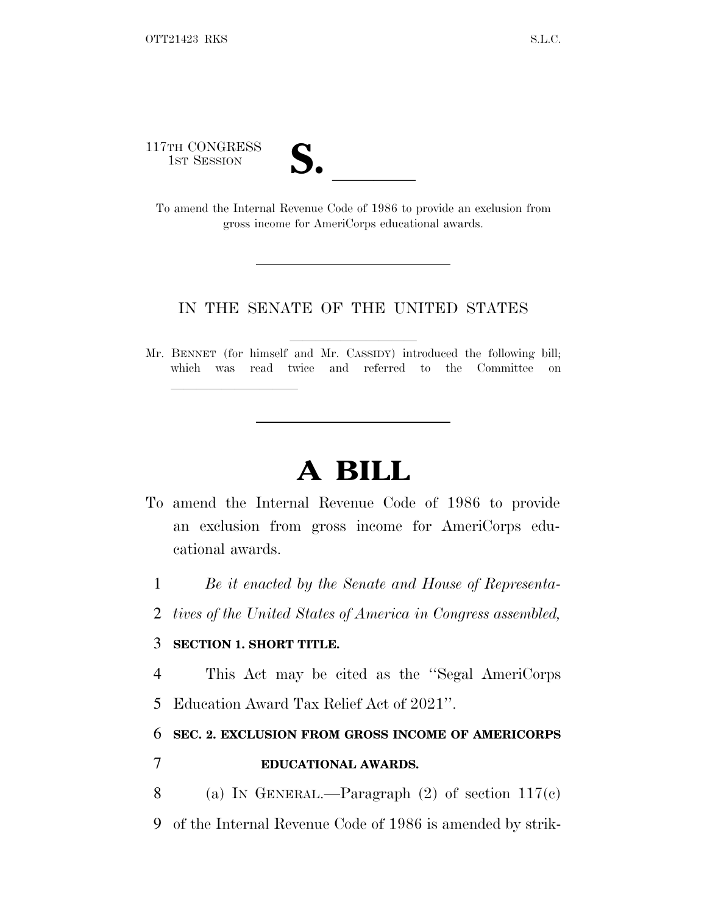117TH CONGRESS

| T    |  |
|------|--|
| LJ 0 |  |
|      |  |

17TH CONGRESS<br>
1ST SESSION<br>
To amend the Internal Revenue Code of 1986 to provide an exclusion from gross income for AmeriCorps educational awards.

## IN THE SENATE OF THE UNITED STATES

Mr. BENNET (for himself and Mr. CASSIDY) introduced the following bill; which was read twice and referred to the Committee on

## **A BILL**

- To amend the Internal Revenue Code of 1986 to provide an exclusion from gross income for AmeriCorps educational awards.
	- 1 *Be it enacted by the Senate and House of Representa-*
	- 2 *tives of the United States of America in Congress assembled,*

## 3 **SECTION 1. SHORT TITLE.**

lla se al consegue de la consegue de la consegue de la consegue de la consegue de la consegue de la consegue d<br>La consegue de la consegue de la consegue de la consegue de la consegue de la consegue de la consegue de la co

4 This Act may be cited as the ''Segal AmeriCorps

5 Education Award Tax Relief Act of 2021''.

## 6 **SEC. 2. EXCLUSION FROM GROSS INCOME OF AMERICORPS** 7 **EDUCATIONAL AWARDS.**

- 8 (a) I<sup>N</sup> GENERAL.—Paragraph (2) of section 117(c)
- 9 of the Internal Revenue Code of 1986 is amended by strik-